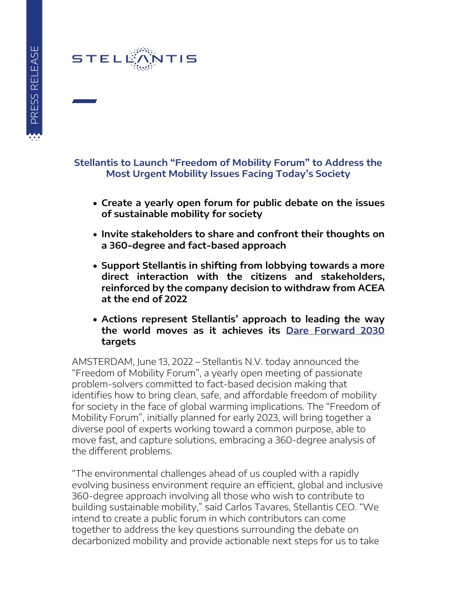## STELE

## **Stellantis to Launch "Freedom of Mobility Forum" to Address the Most Urgent Mobility Issues Facing Today's Society**

- **Create a yearly open forum for public debate on the issues of sustainable mobility for society**
- **Invite stakeholders to share and confront their thoughts on a 360-degree and fact-based approach**
- **Support Stellantis in shifting from lobbying towards a more direct interaction with the citizens and stakeholders, reinforced by the company decision to withdraw from ACEA at the end of 2022**
- **Actions represent Stellantis' approach to leading the way the world moves as it achieves its Dare Forward 2030 targets**

AMSTERDAM, June 13, 2022 – Stellantis N.V. today announced the "Freedom of Mobility Forum", a yearly open meeting of passionate problem-solvers committed to fact-based decision making that identifies how to bring clean, safe, and affordable freedom of mobility for society in the face of global warming implications. The "Freedom of Mobility Forum", initially planned for early 2023, will bring together a diverse pool of experts working toward a common purpose, able to move fast, and capture solutions, embracing a 360-degree analysis of the different problems.

"The environmental challenges ahead of us coupled with a rapidly evolving business environment require an efficient, global and inclusive 360-degree approach involving all those who wish to contribute to building sustainable mobility," said Carlos Tavares, Stellantis CEO. "We intend to create a public forum in which contributors can come together to address the key questions surrounding the debate on decarbonized mobility and provide actionable next steps for us to take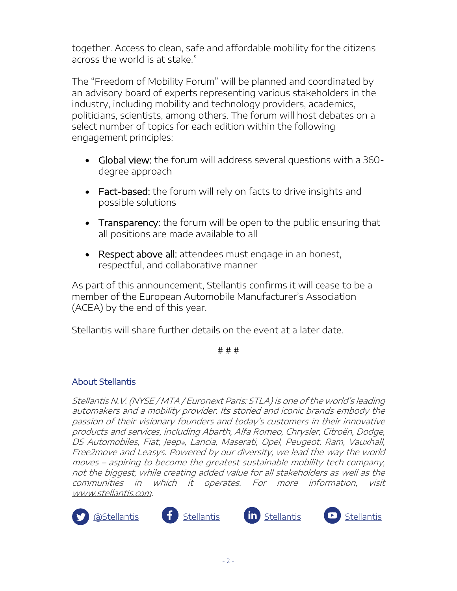together. Access to clean, safe and affordable mobility for the citizens across the world is at stake."

The "Freedom of Mobility Forum" will be planned and coordinated by an advisory board of experts representing various stakeholders in the industry, including mobility and technology providers, academics, politicians, scientists, among others. The forum will host debates on a select number of topics for each edition within the following engagement principles:

- Global view: the forum will address several questions with a 360 degree approach
- Fact-based: the forum will rely on facts to drive insights and possible solutions
- Transparency: the forum will be open to the public ensuring that all positions are made available to all
- Respect above all: attendees must engage in an honest, respectful, and collaborative manner

As part of this announcement, Stellantis confirms it will cease to be a member of the European Automobile Manufacturer's Association (ACEA) by the end of this year.

Stellantis will share further details on the event at a later date.

# # #

## About Stellantis

Stellantis N.V. (NYSE / MTA / Euronext Paris: STLA) is one of the world's leading automakers and a mobility provider. Its storied and iconic brands embody the passion of their visionary founders and today's customers in their innovative products and services, including Abarth, Alfa Romeo, Chrysler, Citroën, Dodge, DS Automobiles, Fiat, Jeep®, Lancia, Maserati, Opel, Peugeot, Ram, Vauxhall, Free2move and Leasys. Powered by our diversity, we lead the way the world moves – aspiring to become the greatest sustainable mobility tech company, not the biggest, while creating added value for all stakeholders as well as the communities in which it operates. For more information, visit www.stellantis.com.